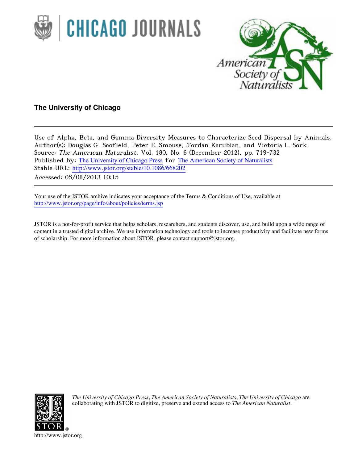



**The University of Chicago**

Use of Alpha, Beta, and Gamma Diversity Measures to Characterize Seed Dispersal by Animals. Author(s): Douglas G. Scofield, Peter E. Smouse, Jordan Karubian, and Victoria L. Sork Source: The American Naturalist, Vol. 180, No. 6 (December 2012), pp. 719-732 Published by: The University of Chicago Press for The American Society of Naturalists Stable URL: http://www.jstor.org/stable/10.1086/668202

Accessed: 05/08/2013 10:15

Your use of the JSTOR archive indicates your acceptance of the Terms & Conditions of Use, available at http://www.jstor.org/page/info/about/policies/terms.jsp

JSTOR is a not-for-profit service that helps scholars, researchers, and students discover, use, and build upon a wide range of content in a trusted digital archive. We use information technology and tools to increase productivity and facilitate new forms of scholarship. For more information about JSTOR, please contact support@jstor.org.



*The University of Chicago Press*, *The American Society of Naturalists*, *The University of Chicago* are collaborating with JSTOR to digitize, preserve and extend access to *The American Naturalist.*

http://www.jstor.org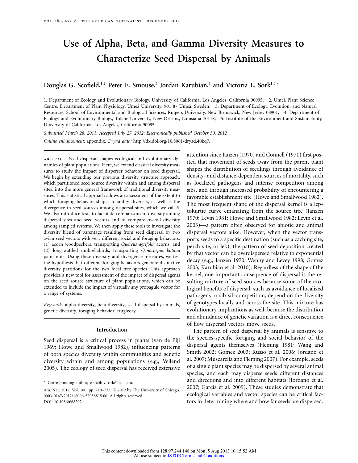# **Use of Alpha, Beta, and Gamma Diversity Measures to Characterize Seed Dispersal by Animals**

## Douglas G. Scofield,<sup>1,2</sup> Peter E. Smouse,<sup>3</sup> Jordan Karubian,<sup>4</sup> and Victoria L. Sork<sup>1,5,\*</sup>

1. Department of Ecology and Evolutionary Biology, University of California, Los Angeles, California 90095; 2. Umeå Plant Science Centre, Department of Plant Physiology, Umeå University, 901 87 Umeå, Sweden; 3. Department of Ecology, Evolution, and Natural Resources, School of Environmental and Biological Sciences, Rutgers University, New Brunswick, New Jersey 08901; 4. Department of Ecology and Evolutionary Biology, Tulane University, New Orleans, Louisiana 70118; 5. Institute of the Environment and Sustainability, University of California, Los Angeles, California 90095

*Submitted March 28, 2011; Accepted July 27, 2012; Electronically published October 30, 2012 Online enhancement:* appendix. *Dryad data:* http://dx.doi.org/10.5061/dryad.40kq7.

abstract: Seed dispersal shapes ecological and evolutionary dynamics of plant populations. Here, we extend classical diversity measures to study the impact of disperser behavior on seed dispersal. We begin by extending our previous diversity structure approach, which partitioned seed source diversity within and among dispersal sites, into the more general framework of traditional diversity measures. This statistical approach allows an assessment of the extent to which foraging behavior shapes  $\alpha$  and  $\gamma$  diversity, as well as the divergence in seed sources among dispersal sites, which we call  $\delta$ . We also introduce tests to facilitate comparisons of diversity among dispersal sites and seed vectors and to compare overall diversity among sampled systems. We then apply these tools to investigate the diversity blend of parentage resulting from seed dispersal by two avian seed vectors with very different social and foraging behaviors: (1) acorn woodpeckers, transporting *Quercus agrifolia* acorns, and (2) long-wattled umbrellabirds, transporting *Oenocarpus bataua* palm nuts. Using these diversity and divergence measures, we test the hypothesis that different foraging behaviors generate distinctive diversity partitions for the two focal tree species. This approach provides a new tool for assessment of the impact of dispersal agents on the seed source structure of plant populations, which can be extended to include the impact of virtually any propagule vector for a range of systems.

*Keywords:* alpha diversity, beta diversity, seed dispersal by animals, genetic diversity, foraging behavior, frugivory.

#### **Introduction**

Seed dispersal is a critical process in plants (van de Pijl 1969; Howe and Smallwood 1982), influencing patterns of both species diversity within communities and genetic diversity within and among populations (e.g., Vellend 2005). The ecology of seed dispersal has received extensive

attention since Janzen (1970) and Connell (1971) first posited that movement of seeds away from the parent plant shapes the distribution of seedlings through avoidance of density- and distance-dependent sources of mortality, such as localized pathogens and intense competition among sibs, and through increased probability of encountering a favorable establishment site (Howe and Smallwood 1982). The most frequent shape of the dispersal kernel is a leptokurtic curve emanating from the source tree (Janzen 1970; Levin 1981; Howe and Smallwood 1982; Levin et al. 2003)—a pattern often observed for abiotic and animal dispersal vectors alike. However, when the vector transports seeds to a specific destination (such as a caching site, perch site, or lek), the pattern of seed deposition created by that vector can be overdispersed relative to exponential decay (e.g., Janzen 1970; Wenny and Levey 1998; Gomez 2003; Karubian et al. 2010). Regardless of the shape of the kernel, one important consequence of dispersal is the resulting mixture of seed sources because some of the ecological benefits of dispersal, such as avoidance of localized pathogens or sib-sib competition, depend on the diversity of genotypes locally and across the site. This mixture has evolutionary implications as well, because the distribution and abundance of genetic variation is a direct consequence of how dispersal vectors move seeds.

The pattern of seed dispersal by animals is sensitive to the species-specific foraging and social behavior of the dispersal agents themselves (Fleming 1981; Wang and Smith 2002; Gomez 2003; Russo et al. 2006; Jordano et al. 2007; Muscarella and Fleming 2007). For example, seeds of a single plant species may be dispersed by several animal species, and each may disperse seeds different distances and directions and into different habitats (Jordano et al. 2007; Garcia et al. 2009). These studies demonstrate that ecological variables and vector species can be critical factors in determining where and how far seeds are dispersed.

<sup>\*</sup> Corresponding author; e-mail: vlsork@ucla.edu.

Am. Nat. 2012. Vol. 180, pp. 719-732. @ 2012 by The University of Chicago. 0003-0147/2012/18006-52938\$15.00. All rights reserved. DOI: 10.1086/668202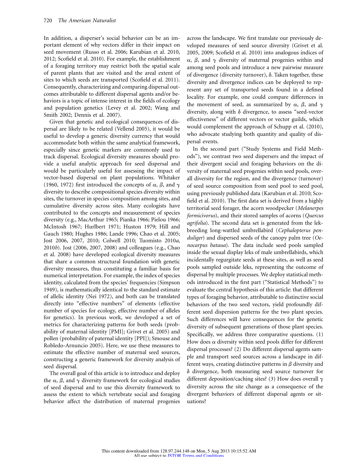In addition, a disperser's social behavior can be an important element of why vectors differ in their impact on seed movement (Russo et al. 2006; Karubian et al. 2010, 2012; Scofield et al. 2010). For example, the establishment of a foraging territory may restrict both the spatial scale of parent plants that are visited and the areal extent of sites to which seeds are transported (Scofield et al. 2011). Consequently, characterizing and comparing dispersal outcomes attributable to different dispersal agents and/or behaviors is a topic of intense interest in the fields of ecology and population genetics (Levey et al. 2002; Wang and Smith 2002; Dennis et al. 2007).

Given that genetic and ecological consequences of dispersal are likely to be related (Vellend 2005), it would be useful to develop a generic diversity currency that would accommodate both within the same analytical framework, especially since genetic markers are commonly used to track dispersal. Ecological diversity measures should provide a useful analytic approach for seed dispersal and would be particularly useful for assessing the impact of vector-based dispersal on plant populations. Whitaker (1960, 1972) first introduced the concepts of  $\alpha$ ,  $\beta$ , and  $\gamma$ diversity to describe compositional species diversity within sites, the turnover in species composition among sites, and cumulative diversity across sites. Many ecologists have contributed to the concepts and measurement of species diversity (e.g., MacArthur 1965; Pianka 1966; Pielou 1966; McIntosh 1967; Hurlbert 1971; Huston 1979; Hill and Gauch 1980; Hughes 1986; Lande 1996; Chao et al. 2005; Jost 2006, 2007, 2010; Colwell 2010; Tuomisto 2010*a*, 2010*b*). Jost (2006, 2007, 2008) and colleagues (e.g., Chao et al. 2008) have developed ecological diversity measures that share a common structural foundation with genetic diversity measures, thus constituting a familiar basis for numerical interpretation. For example, the index of species identity, calculated from the species' frequencies (Simpson 1949), is mathematically identical to the standard estimate of allelic identity (Nei 1972), and both can be translated directly into "effective numbers" of elements (effective number of species for ecology, effective number of alleles for genetics). In previous work, we developed a set of metrics for characterizing patterns for both seeds (probability of maternal identity [PMI]; Grivet et al. 2005) and pollen (probability of paternal identity [PPI]); Smouse and Robledo-Arnuncio 2005). Here, we use these measures to estimate the effective number of maternal seed sources, constructing a generic framework for diversity analysis of seed dispersal.

The overall goal of this article is to introduce and deploy the  $\alpha$ ,  $\beta$ , and  $\gamma$  diversity framework for ecological studies of seed dispersal and to use this diversity framework to assess the extent to which vertebrate social and foraging behavior affect the distribution of maternal progenies

across the landscape. We first translate our previously developed measures of seed source diversity (Grivet et al. 2005, 2009; Scofield et al. 2010) into analogous indices of  $\alpha$ ,  $\beta$ , and  $\gamma$  diversity of maternal progenies within and among seed pools and introduce a new pairwise measure of divergence (diversity turnover),  $\delta$ . Taken together, these diversity and divergence indices can be deployed to represent any set of transported seeds found in a defined locality. For example, one could compare differences in the movement of seed, as summarized by  $\alpha$ ,  $\beta$ , and  $\gamma$ diversity, along with  $\delta$  divergence, to assess "seed-vector effectiveness" of different vectors or vector guilds, which would complement the approach of Schupp et al. (2010), who advocate studying both quantity and quality of dispersal events.

In the second part ("Study Systems and Field Methods"), we contrast two seed dispersers and the impact of their divergent social and foraging behaviors on the diversity of maternal seed progenies within seed pools, overall diversity for the region, and the divergence (turnover) of seed source composition from seed pool to seed pool, using previously published data (Karubian et al. 2010; Scofield et al. 2010). The first data set is derived from a highly territorial seed forager, the acorn woodpecker (*Melanerpes formicivorus*), and their stored samples of acorns (*Quercus agrifolia*). The second data set is generated from the lekbreeding long-wattled umbrellabird (*Cephalopterus penduliger*) and dispersed seeds of the canopy palm tree (*Oenocarpus bataua*). The data include seed pools sampled inside the sexual display leks of male umbrellabirds, which incidentally regurgitate seeds at these sites, as well as seed pools sampled outside leks, representing the outcome of dispersal by multiple processes. We deploy statistical methods introduced in the first part ("Statistical Methods") to evaluate the central hypothesis of this article: that different types of foraging behavior, attributable to distinctive social behaviors of the two seed vectors, yield profoundly different seed dispersion patterns for the two plant species. Such differences will have consequences for the genetic diversity of subsequent generations of those plant species. Specifically, we address three comparative questions. (1) How does  $\alpha$  diversity within seed pools differ for different dispersal processes? (2) Do different dispersal agents sample and transport seed sources across a landscape in different ways, creating distinctive patterns in  $\beta$  diversity and  $\delta$  divergence, both measuring seed source turnover for different deposition/caching sites? (3) How does overall  $\gamma$ diversity across the site change as a consequence of the divergent behaviors of different dispersal agents or situations?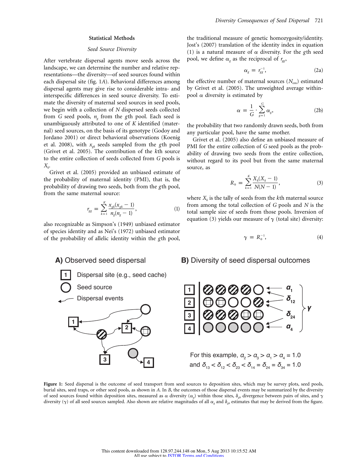#### **Statistical Methods**

#### *Seed Source Diversity*

After vertebrate dispersal agents move seeds across the landscape, we can determine the number and relative representations—the diversity—of seed sources found within each dispersal site (fig. 1*A*). Behavioral differences among dispersal agents may give rise to considerable intra- and interspecific differences in seed source diversity. To estimate the diversity of maternal seed sources in seed pools, we begin with a collection of *N* dispersed seeds collected from *G* seed pools, *ng* from the *g* th pool. Each seed is unambiguously attributed to one of *K* identified (maternal) seed sources, on the basis of its genotype (Godoy and Jordano 2001) or direct behavioral observations (Koenig et al. 2008), with *xgk* seeds sampled from the *g* th pool (Grivet et al. 2005). The contribution of the *k*th source to the entire collection of seeds collected from *G* pools is *Xk*.

Grivet et al. (2005) provided an unbiased estimate of the probability of maternal identity (PMI), that is, the probability of drawing two seeds, both from the *g* th pool, from the same maternal source:

$$
r_{gg} = \sum_{k=1}^{K} \frac{x_{gk}(x_{gk} - 1)}{n_g(n_g - 1)},
$$
\n(1)

also recognizable as Simpson's (1949) unbiased estimator of species identity and as Nei's (1972) unbiased estimator of the probability of allelic identity within the *g* th pool,



the traditional measure of genetic homozygosity/identity. Jost's (2007) translation of the identity index in equation (1) is a natural measure of  $\alpha$  diversity. For the *g*th seed pool, we define  $\alpha_g$  as the reciprocal of  $r_{gg}$ ,

$$
\alpha_g = r_{gg}^{-1},\tag{2a}
$$

the effective number of maternal sources  $(N_{em})$  estimated by Grivet et al. (2005). The unweighted average withinpool  $\alpha$  diversity is estimated by

$$
\alpha = \frac{1}{G} \cdot \sum_{g=1}^{G} \alpha_g, \tag{2b}
$$

the probability that two randomly drawn seeds, both from any particular pool, have the same mother.

Grivet et al. (2005) also define an unbiased measure of PMI for the entire collection of *G* seed pools as the probability of drawing two seeds from the entire collection, without regard to its pool but from the same maternal source, as

$$
R_0 = \sum_{k=1}^{K} \frac{X_k (X_k - 1)}{N(N-1)},
$$
\n(3)

where  $X_k$  is the tally of seeds from the  $k$ th maternal source from among the total collection of *G* pools and *N* is the total sample size of seeds from those pools. Inversion of equation (3) yields our measure of  $\gamma$  (total site) diversity:

$$
\gamma = R_0^{-1},\tag{4}
$$



Figure 1: Seed dispersal is the outcome of seed transport from seed sources to deposition sites, which may be survey plots, seed pools, burial sites, seed traps, or other seed pools, as shown in *A*. In *B*, the outcomes of those dispersal events may be summarized by the diversity of seed sources found within deposition sites, measured as  $\alpha$  diversity  $(\alpha_g)$  within those sites,  $\delta_{gh}$  divergence between pairs of sites, and  $\gamma$ diversity ( $\gamma$ ) of all seed sources sampled. Also shown are relative magnitudes of all  $\alpha_g$  and  $\delta_{gh}$  estimates that may be derived from the figure.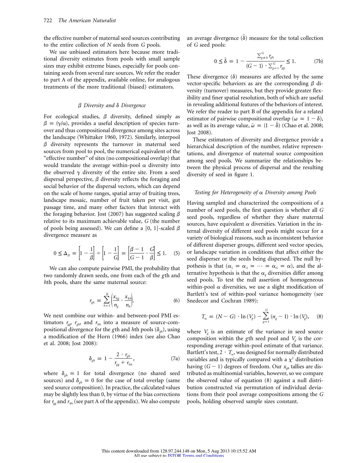the effective number of maternal seed sources contributing to the entire collection of *N* seeds from *G* pools.

We use unbiased estimators here because more traditional diversity estimates from pools with small sample sizes may exhibit extreme biases, especially for pools containing seeds from several rare sources. We refer the reader to part A of the appendix, available online, for analogous treatments of the more traditional (biased) estimators.

#### b *Diversity and* d *Divergence*

For ecological studies,  $\beta$  diversity, defined simply as  $\beta = (\gamma/\alpha)$ , provides a useful description of species turnover and thus compositional divergence among sites across the landscape (Whittaker 1960, 1972). Similarly, interpool  $\beta$  diversity represents the turnover in maternal seed sources from pool to pool, the numerical equivalent of the "effective number" of sites (no compositional overlap) that would translate the average within-pool  $\alpha$  diversity into the observed  $\gamma$  diversity of the entire site. From a seed dispersal perspective,  $\beta$  diversity reflects the foraging and social behavior of the dispersal vectors, which can depend on the scale of home ranges, spatial array of fruiting trees, landscape mosaic, number of fruit taken per visit, gut passage time, and many other factors that interact with the foraging behavior. Jost (2007) has suggested scaling  $\beta$ relative to its maximum achievable value, *G* (the number of pools being assessed). We can define a [0, 1]-scaled  $\beta$ divergence measure as

$$
0 \le \Delta_{\beta} = \left[1 - \frac{1}{\beta}\right] \div \left[1 - \frac{1}{G}\right] = \left[\frac{\beta - 1}{G - 1} \cdot \frac{G}{\beta}\right] \le 1. \tag{5}
$$

We can also compute pairwise PMI, the probability that two randomly drawn seeds, one from each of the *g* th and *h*th pools, share the same maternal source:

$$
r_{gh} = \sum_{k=1}^{K} \left( \frac{x_{kg}}{n_g} \cdot \frac{x_{kh}}{n_h} \right).
$$
 (6)

We next combine our within- and between-pool PMI estimators  $r_{gg}$ ,  $r_{gh}$ , and  $r_{hh}$  into a measure of source-compositional divergence for the *g*th and *h*th pools ( $\delta_{gh}$ ), using a modification of the Horn (1966) index (see also Chao et al. 2008; Jost 2008):

$$
\delta_{gh} = 1 - \frac{2 \cdot r_{gh}}{r_{gg} + r_{hh}},\tag{7a}
$$

where  $\delta_{gh} = 1$  for total divergence (no shared seed sources) and  $\delta_{gh} = 0$  for the case of total overlap (same seed source composition). In practice, the calculated values may be slightly less than 0, by virtue of the bias corrections for  $r_{gg}$  and  $r_{hh}$  (see part A of the appendix). We also compute

an average divergence  $(\bar{\delta})$  measure for the total collection of *G* seed pools:

$$
0 \le \bar{\delta} = 1 - \frac{\sum_{g+h}^{G} r_{gh}}{(G-1) \cdot \sum_{g=1}^{G} r_{gg}} \le 1.
$$
 (7b)

These divergence  $(\delta)$  measures are affected by the same vector-specific behaviors as are the corresponding  $\beta$  diversity (turnover) measures, but they provide greater flexibility and finer spatial resolution, both of which are useful in revealing additional features of the behaviors of interest. We refer the reader to part B of the appendix for a related estimator of pairwise compositional overlap ( $\omega = 1 - \delta$ ), as well as its average value,  $\bar{\omega} = (1 - \delta)$  (Chao et al. 2008; Jost 2008).

These estimators of diversity and divergence provide a hierarchical description of the number, relative representations, and divergence of maternal source composition among seed pools. We summarize the relationships between the physical process of dispersal and the resulting diversity of seed in figure 1.

#### *Testing for Heterogeneity of* a *Diversity among Pools*

Having sampled and characterized the compositions of a number of seed pools, the first question is whether all *G* seed pools, regardless of whether they share maternal sources, have equivalent  $\alpha$  diversities. Variation in the internal diversity of different seed pools might occur for a variety of biological reasons, such as inconsistent behavior of different disperser groups, different seed vector species, or landscape variation in conditions that affect either the seed disperser or the seeds being dispersed. The null hypothesis is that  $(\alpha_1 = \alpha_2 = \cdots = \alpha_G = \alpha)$ , and the alternative hypothesis is that the  $\alpha_{\varphi}$  diversities differ among seed pools. To test the null assertion of homogeneous within-pool  $\alpha$  diversities, we use a slight modification of Bartlett's test of within-pool variance homogeneity (see Snedecor and Cochran 1989):

$$
T_{\alpha} = (N - G) \cdot \ln(V_p) - \sum_{g=1}^{G} (n_g - 1) \cdot \ln(V_g), \quad (8)
$$

where  $V_g$  is an estimate of the variance in seed source composition within the *g*th seed pool and  $V_p$  is the corresponding average within-pool estimate of that variance. Bartlett's test,  $2 \cdot T_{\alpha}$ , was designed for normally distributed variables and is typically compared with a  $\chi^2$  distribution having  $(G - 1)$  degrees of freedom. Our  $x_{gh}$  tallies are distributed as multinomial variables, however, so we compare the observed value of equation (8) against a null distribution constructed via permutation of individual deviations from their pool average compositions among the *G* pools, holding observed sample sizes constant.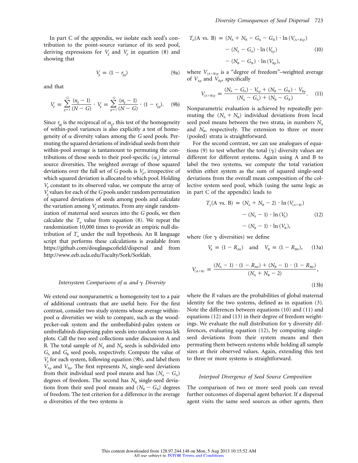In part C of the appendix, we isolate each seed's contribution to the point-source variance of its seed pool, deriving expressions for  $V_e$  and  $V_p$  in equation (8) and showing that

$$
V_g = (1 - r_{gg}) \tag{9a}
$$

and that

$$
V_p = \sum_{g=1}^{G} \frac{(n_g - 1)}{(N - G)} \cdot V_g = \sum_{g=1}^{G} \frac{(n_g - 1)}{(N - G)} \cdot (1 - r_{gg}).
$$
 (9b)

Since  $r_{\text{ee}}$  is the reciprocal of  $\alpha_{\text{e}}$ , this test of the homogeneity of within-pool variances is also explicitly a test of homogeneity of  $\alpha$  diversity values among the *G* seed pools. Permuting the squared deviations of individual seeds from their within-pool average is tantamount to permuting the contributions of those seeds to their pool-specific  $(\alpha_{\nu})$  internal source diversities. The weighted average of those squared deviations over the full set of *G* pools is  $V_p$ , irrespective of which squared deviation is allocated to which pool. Holding *Vp* constant to its observed value, we compute the array of *Vg* values for each of the *G* pools under random permutation of squared deviations of seeds among pools and calculate the variation among  $V<sub>g</sub>$  estimates. From any single randomization of maternal seed sources into the *G* pools, we then calculate the  $T_{\alpha}$  value from equation (8). We repeat the randomization 10,000 times to provide an empiric null distribution of  $T_{\alpha}$  under the null hypothesis. An R language script that performs these calculations is available from https://github.com/douglasgscofield/dispersal and from http://www.eeb.ucla.edu/Faculty/Sork/Sorklab.

#### *Intersystem Comparisons of*  $\alpha$  *and*  $\gamma$  *Diversity*

We extend our nonparametric  $\alpha$  homogeneity test to a pair of additional contrasts that are useful here. For the first contrast, consider two study systems whose average withinpool  $\alpha$  diversities we wish to compare, such as the woodpecker-oak system and the umbrellabird-palm system or umbrellabirds dispersing palm seeds into random versus lek plots. Call the two seed collections under discussion A and B. The total sample of  $N_A$  and  $N_B$  seeds is subdivided into *G*<sub>A</sub> and *G*<sub>B</sub> seed pools, respectively. Compute the value of  $V_p$  for each system, following equation (9b), and label them  $V_{A_p}$  and  $V_{B_p}$ . The first represents  $N_A$  single-seed deviations from their individual seed pool means and has  $(N_A - G_A)$ degrees of freedom. The second has  $N_B$  single-seed deviations from their seed pool means and  $(N_B - G_B)$  degrees of freedom. The test criterion for a difference in the average  $\alpha$  diversities of the two systems is

$$
T_{\alpha}(A \text{ vs. B}) = (N_{A} + N_{B} - G_{A} - G_{B}) \cdot \ln(V_{(A+B)p})
$$

$$
- (N_{A} - G_{A}) \cdot \ln(V_{Ap})
$$

$$
- (N_{B} - G_{B}) \cdot \ln(V_{Bp}), \qquad (10)
$$

where  $V_{(A+B)p}$  is a "degree of freedom"–weighted average of  $V_{\text{A}p}$  and  $V_{\text{B}p}$ , specifically

$$
V_{(A+B)p} = \frac{(N_A - G_A) \cdot V_{Ap} + (N_B - G_B) \cdot V_{Bp}}{(N_A - G_A) + (N_B - G_B)}.
$$
 (11)

Nonparametric evaluation is achieved by repeatedly permuting the  $(N_A + N_B)$  individual deviations from local seed pool means between the two strata, in numbers  $N_A$ and  $N_{\rm B}$ , respectively. The extension to three or more (pooled) strata is straightforward.

For the second contrast, we can use analogues of equations (9) to test whether the total  $(\gamma)$  diversity values are different for different systems. Again using A and B to label the two systems, we compute the total variation within either system as the sum of squared single-seed deviations from the overall mean composition of the collective system seed pool, which (using the same logic as in part C of the appendix) leads to

$$
T_{\gamma}(\text{A vs. B}) = (N_{\text{A}} + N_{\text{B}} - 2) \cdot \ln(V_{(A+B)})
$$

$$
- (N_{\text{A}} - 1) \cdot \ln(V_{\text{A}})
$$

$$
- (N_{\text{B}} - 1) \cdot \ln(V_{\text{B}}), \tag{12}
$$

where (for  $\gamma$  diversities) we define

$$
V_A = (1 - R_{A0})
$$
 and  $V_B = (1 - R_{B0})$ , (13a)

$$
V_{(A+B)} = \frac{(N_A - 1) \cdot (1 - R_{A0}) + (N_B - 1) \cdot (1 - R_{B0})}{(N_A + N_B - 2)},
$$
\n(13b)

where the *R* values are the probabilities of global maternal identity for the two systems, defined as in equation (3). Note the differences between equations (10) and (11) and equations (12) and (13) in their degree of freedom weightings. We evaluate the null distribution for  $\gamma$  diversity differences, evaluating equation (12), by computing singleseed deviations from their system means and then permuting them between systems while holding all sample sizes at their observed values. Again, extending this test to three or more systems is straightforward.

#### *Interpool Divergence of Seed Source Composition*

The comparison of two or more seed pools can reveal further outcomes of dispersal agent behavior. If a dispersal agent visits the same seed sources as other agents, then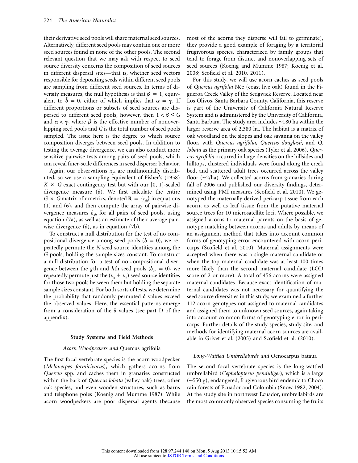their derivative seed pools will share maternal seed sources. Alternatively, different seed pools may contain one or more seed sources found in none of the other pools. The second relevant question that we may ask with respect to seed source diversity concerns the composition of seed sources in different dispersal sites—that is, whether seed vectors responsible for depositing seeds within different seed pools are sampling from different seed sources. In terms of diversity measures, the null hypothesis is that  $\beta = 1$ , equivalent to  $\bar{\delta} = 0$ , either of which implies that  $\alpha = \gamma$ . If different proportions or subsets of seed sources are dispersed to different seed pools, however, then  $1 < \beta \le G$ and  $\alpha < \gamma$ , where  $\beta$  is the effective number of nonoverlapping seed pools and *G* is the total number of seed pools sampled. The issue here is the degree to which source composition diverges between seed pools. In addition to testing the average divergence, we can also conduct more sensitive pairwise tests among pairs of seed pools, which can reveal finer-scale differences in seed disperser behavior.

Again, our observations  $x_{gh}$  are multinomially distributed, so we use a sampling equivalent of Fisher's (1958)  $K \times G$  exact contingency test but with our [0, 1]-scaled divergence measure  $(\delta)$ . We first calculate the entire *G*  $\times$  *G* matrix of *r* metrics, denoted **R** = { $r_{eh}$ } in equations (1) and (6), and then compute the array of pairwise divergence measures  $\delta_{gh}$  for all pairs of seed pools, using equation (7a), as well as an estimate of their average pairwise divergence  $(\bar{\delta})$ , as in equation (7b).

To construct a null distribution for the test of no compositional divergence among seed pools ( $\delta = 0$ ), we repeatedly permute the *N* seed source identities among the *G* pools, holding the sample sizes constant. To construct a null distribution for a test of no compositional divergence between the *g*th and *h*th seed pools ( $\delta_{gh} = 0$ ), we repeatedly permute just the  $(n_g + n_h)$  seed source identities for those two pools between them but holding the separate sample sizes constant. For both sorts of tests, we determine the probability that randomly permuted  $\delta$  values exceed the observed values. Here, the essential patterns emerge from a consideration of the  $\bar{\delta}$  values (see part D of the appendix).

#### **Study Systems and Field Methods**

#### *Acorn Woodpeckers and* Quercus agrifolia

The first focal vertebrate species is the acorn woodpecker (*Melanerpes formicivorus*), which gathers acorns from *Quercus* spp. and caches them in granaries constructed within the bark of *Quercus lobata* (valley oak) trees, other oak species, and even wooden structures, such as barns and telephone poles (Koenig and Mumme 1987). While acorn woodpeckers are poor dispersal agents (because

most of the acorns they disperse will fail to germinate), they provide a good example of foraging by a territorial frugivorous species, characterized by family groups that tend to forage from distinct and nonoverlapping sets of seed sources (Koenig and Mumme 1987; Koenig et al. 2008; Scofield et al. 2010, 2011).

For this study, we will use acorn caches as seed pools of *Quercus agrifolia* Née (coast live oak) found in the Figueroa Creek Valley of the Sedgwick Reserve. Located near Los Olivos, Santa Barbara County, California, this reserve is part of the University of California Natural Reserve System and is administered by the University of California, Santa Barbara. The study area includes ∼180 ha within the larger reserve area of 2,380 ha. The habitat is a matrix of oak woodland on the slopes and oak savanna on the valley floor, with *Quercus agrifolia*, *Quercus douglasii*, and *Q. lobata* as the primary oak species (Tyler et al. 2006). *Quercus agrifolia* occurred in large densities on the hillsides and hilltops, clustered individuals were found along the creek bed, and scattered adult trees occurred across the valley floor (∼2/ha). We collected acorns from granaries during fall of 2006 and published our diversity findings, determined using PMI measures (Scofield et al. 2010). We genotyped the maternally derived pericarp tissue from each acorn, as well as leaf tissue from the putative maternal source trees for 10 microsatellite loci. Where possible, we assigned acorns to maternal parents on the basis of genotype matching between acorns and adults by means of an assignment method that takes into account common forms of genotyping error encountered with acorn pericarps (Scofield et al. 2010). Maternal assignments were accepted when there was a single maternal candidate or when the top maternal candidate was at least 100 times more likely than the second maternal candidate (LOD score of 2 or more). A total of 456 acorns were assigned maternal candidates. Because exact identification of maternal candidates was not necessary for quantifying the seed source diversities in this study, we examined a further 112 acorn genotypes not assigned to maternal candidates and assigned them to unknown seed sources, again taking into account common forms of genotyping error in pericarps. Further details of the study species, study site, and methods for identifying maternal acorn sources are available in Grivet et al. (2005) and Scofield et al. (2010).

#### *Long-Wattled Umbrellabirds and* Oenocarpus bataua

The second focal vertebrate species is the long-wattled umbrellabird (*Cephalopterus penduliger*), which is a large (∼550 g), endangered, frugivorous bird endemic to Choco´ rain forests of Ecuador and Colombia (Snow 1982, 2004). At the study site in northwest Ecuador, umbrellabirds are the most commonly observed species consuming the fruits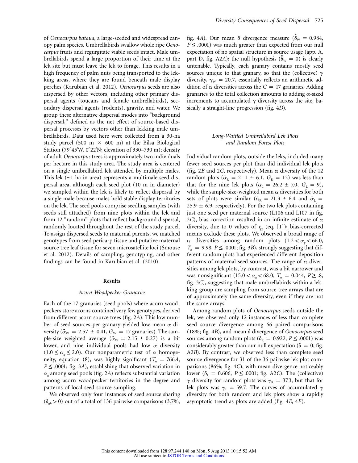of *Oenocarpus bataua*, a large-seeded and widespread canopy palm species. Umbrellabirds swallow whole ripe *Oenocarpus* fruits and regurgitate viable seeds intact. Male umbrellabirds spend a large proportion of their time at the lek site but must leave the lek to forage. This results in a high frequency of palm nuts being transported to the lekking areas, where they are found beneath male display perches (Karubian et al. 2012). *Oenocarpus* seeds are also dispersed by other vectors, including other primary dispersal agents (toucans and female umbrellabirds), secondary dispersal agents (rodents), gravity, and water. We group these alternative dispersal modes into "background dispersal," defined as the net effect of source-based dispersal processes by vectors other than lekking male umbrellabirds. Data used here were collected from a 30-ha study parcel (500 m  $\times$  600 m) at the Bilsa Biological Station (79°45'W, 0°22'N; elevation of 330–730 m); density of adult *Oenocarpus* trees is approximately two individuals per hectare in this study area. The study area is centered on a single umbrellabird lek attended by multiple males. This lek (∼1 ha in area) represents a multimale seed dispersal area, although each seed plot (10 m in diameter) we sampled within the lek is likely to reflect dispersal by a single male because males hold stable display territories on the lek. The seed pools comprise seedling samples (with seeds still attached) from nine plots within the lek and from 12 "random" plots that reflect background dispersal, randomly located throughout the rest of the study parcel. To assign dispersed seeds to maternal parents, we matched genotypes from seed pericarp tissue and putative maternal source tree leaf tissue for seven microsatellite loci (Smouse et al. 2012). Details of sampling, genotyping, and other findings can be found in Karubian et al. (2010).

#### **Results**

#### *Acorn Woodpecker Granaries*

Each of the 17 granaries (seed pools) where acorn woodpeckers store acorns contained very few genotypes, derived from different acorn source trees (fig. 2*A*). This low number of seed sources per granary yielded low mean  $\alpha$  diversity ( $\bar{\alpha}_{\text{w}} = 2.57 \pm 0.41$ ,  $G_{\text{w}} = 17$  granaries). The sample-size weighted average ( $\bar{\alpha}_{\text{w}} = 2.15 \pm 0.27$ ) is a bit lower, and nine individual pools had low  $\alpha$  diversity  $(1.0 \le \alpha_{\varphi} \le 2.0)$ . Our nonparametric test of  $\alpha$  homogeneity, equation (8), was highly significant ( $T_{\alpha} = 766.4$ , *P* ≤ .0001; fig. 3*A*), establishing that observed variation in  $\alpha$ <sub>*e*</sub> among seed pools (fig. 2A) reflects substantial variation among acorn woodpecker territories in the degree and patterns of local seed source sampling.

We observed only four instances of seed source sharing  $(\delta_{gh} > 0)$  out of a total of 136 pairwise comparisons (3.7%;

fig. 4A). Our mean  $\delta$  divergence measure ( $\bar{\delta}_{\rm w} = 0.984$ , *P* ≤ .0001) was much greater than expected from our null expectation of no spatial structure in source usage (app. A, part D, fig. A2*A*); the null hypothesis ( $\bar{\delta}_{\text{w}} = 0$ ) is clearly untenable. Typically, each granary contains mostly seed sources unique to that granary, so that the (collective)  $\gamma$ diversity,  $\gamma_{\rm w}$  = 20.7, essentially reflects an arithmetic addition of  $\alpha$  diversities across the  $G = 17$  granaries. Adding granaries to the total collection amounts to adding  $\alpha$ -sized increments to accumulated  $\gamma$  diversity across the site, basically a straight-line progression (fig. 4*D*).

### *Long-Wattled Umbrellabird Lek Plots and Random Forest Plots*

Individual random plots, outside the leks, included many fewer seed sources per plot than did individual lek plots (fig. 2*B* and 2*C*, respectively). Mean  $\alpha$  diversity of the 12 random plots ( $\bar{\alpha}_R = 21.1 \pm 6.1$ ,  $G_R = 12$ ) was less than that for the nine lek plots ( $\bar{\alpha}_{L} = 26.2 \pm 7.0$ ,  $G_{L} = 9$ ), while the sample-size-weighted mean  $\alpha$  diversities for both sets of plots were similar ( $\bar{\alpha}_R = 21.3 \pm 6.4$  and  $\bar{\alpha}_L =$  $25.9 \pm 6.9$ , respectively). For the two lek plots containing just one seed per maternal source (L106 and L107 in fig. 2*C*), bias correction resulted in an infinite estimate of  $\alpha$ diversity, due to 0 values of  $r_{gg}$  (eq. [1]); bias-corrected means exclude these plots. We observed a broad range of  $\alpha$  diversities among random plots  $(1.2 < \alpha_g < 66.0,$  $T_{\alpha}$  = 9.98, *P*  $\leq$  .0001; fig. 3*B*), strongly suggesting that different random plots had experienced different deposition patterns of maternal seed sources. The range of  $\alpha$  diversities among lek plots, by contrast, was a bit narrower and was nonsignificant  $(15.0 < \alpha_{\nu} < 68.0, T_{\nu} = 0.044, P \geq .8;$ fig. 3*C*), suggesting that male umbrellabirds within a lekking group are sampling from source tree arrays that are of approximately the same diversity, even if they are not the same arrays.

Among random plots of *Oenocarpus* seeds outside the lek, we observed only 12 instances of less than complete seed source divergence among 66 paired comparisons (18%; fig. 4*B*), and mean d divergence of *Oenocarpus* seed sources among random plots ( $\bar{\delta}_R = 0.922$ ,  $P \leq 0.001$ ) was considerably greater than our null expectation ( $\bar{\delta} = 0$ ; fig. A2*B*). By contrast, we observed less than complete seed source divergence for 31 of the 36 pairwise lek plot comparisons (86%; fig. 4*C*), with mean divergence noticeably lower ( $\bar{\delta}_{L} = 0.606, P \le 0.001$ ; fig. A2*C*). The (collective)  $\gamma$  diversity for random plots was  $\gamma_R = 37.3$ , but that for lek plots was  $\gamma_L = 59.7$ . The curves of accumulated  $\gamma$ diversity for both random and lek plots show a rapidly asymptotic trend as plots are added (fig. 4*E*, 4*F*).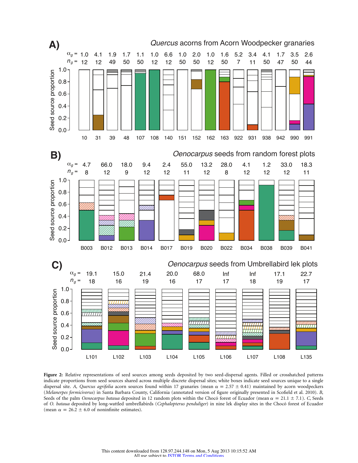

**Figure 2:** Relative representations of seed sources among seeds deposited by two seed-dispersal agents. Filled or crosshatched patterns indicate proportions from seed sources shared across multiple discrete dispersal sites; white boxes indicate seed sources unique to a single dispersal site. *A*, *Quercus agrifolia* acorn sources found within 17 granaries (mean  $\alpha = 2.57 \pm 0.41$ ) maintained by acorn woodpeckers (*Melanerpes formicivorus*) in Santa Barbara County, California (annotated version of figure originally presented in Scofield et al. 2010). *B*, Seeds of the palm *Oenocarpus bataua* deposited in 12 random plots within the Chocó forest of Ecuador (mean  $\alpha = 21.1 \pm 7.1$ ). C, Seeds of *O. bataua* deposited by long-wattled umbrellabirds (*Cephalopterus penduliger*) in nine lek display sites in the Choco´ forest of Ecuador (mean  $\alpha = 26.2 \pm 6.0$  of noninfinite estimates).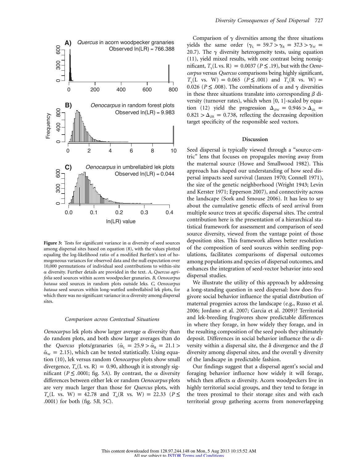

**Figure 3:** Tests for significant variance in  $\alpha$  diversity of seed sources among dispersal sites based on equation (8), with the values plotted equaling the log-likelihood ratio of a modified Bartlett's test of homogeneous variances for observed data and the null expectation over 10,000 permutations of individual seed contributions to within-site a diversity. Further details are provided in the text. *A*, *Quercus agrifolia* seed sources within acorn woodpecker granaries. *B*, *Oenocarpus bataua* seed sources in random plots outside leks. *C*, *Oenocarpus bataua* seed sources within long-wattled umbrellabird lek plots, for which there was no significant variance in  $\alpha$  diversity among dispersal sites.

#### *Comparison across Contextual Situations*

*Oenocarpus* lek plots show larger average  $\alpha$  diversity than do random plots, and both show larger averages than do the *Quercus* plots/granaries ( $\bar{\alpha}_{\rm L} = 25.9 > \bar{\alpha}_{\rm R} = 21.1 >$  $\bar{\alpha}_{\rm w}$  = 2.15), which can be tested statistically. Using equation (10), lek versus random *Oenocarpus* plots show small divergence,  $T_{\alpha}$ (L vs. R) = 0.90, although it is strongly significant ( $P \le 0.0001$ ; fig. 5A). By contrast, the  $\alpha$  diversity differences between either lek or random *Oenocarpus* plots are very much larger than those for *Quercus* plots, with *T*<sub>a</sub>(L vs. W) = 42.78 and  $T_a$ (R vs. W) = 22.33 ( $P \le$ .0001) for both (fig. 5*B*, 5*C*).

Comparison of  $\gamma$  diversities among the three situations yields the same order ( $\gamma_L = 59.7 > \gamma_R = 37.3 > \gamma_W =$ 20.7). The  $\gamma$  diversity heterogeneity tests, using equation (11), yield mixed results, with one contrast being nonsignificant,  $T_{\gamma}$ (L vs. R) = 0.0037 ( $P \leq$  .19), but with the *Oenocarpus* versus *Quercus* comparisons being highly significant, *T*<sub>v</sub>(L vs. W) = 0.065 ( $P \le 0.001$ ) and *T*<sub>v</sub>(R vs. W) = 0.026 ( $P \leq$  .008). The combinations of  $\alpha$  and  $\gamma$  diversities in these three situations translate into corresponding  $\beta$  diversity (turnover rates), which when [0, 1]-scaled by equation (12) yield the progression  $\Delta_{\beta W} = 0.946 > \Delta_{\beta L}$  $0.821 > \Delta_{BR} = 0.738$ , reflecting the decreasing deposition target specificity of the responsible seed vectors.

#### **Discussion**

Seed dispersal is typically viewed through a "source-centric" lens that focuses on propagules moving away from the maternal source (Howe and Smallwood 1982). This approach has shaped our understanding of how seed dispersal impacts seed survival (Janzen 1970; Connell 1971), the size of the genetic neighborhood (Wright 1943; Levin and Kerster 1971; Epperson 2007), and connectivity across the landscape (Sork and Smouse 2006). It has less to say about the cumulative genetic effects of seed arrival from multiple source trees at specific dispersal sites. The central contribution here is the presentation of a hierarchical statistical framework for assessment and comparison of seed source diversity, viewed from the vantage point of those deposition sites. This framework allows better resolution of the composition of seed sources within seedling populations, facilitates comparisons of dispersal outcomes among populations and species of dispersal outcomes, and enhances the integration of seed-vector behavior into seed dispersal studies.

We illustrate the utility of this approach by addressing a long-standing question in seed dispersal: how does frugivore social behavior influence the spatial distribution of maternal progenies across the landscape (e.g., Russo et al. 2006; Jordano et al. 2007; Garcia et al. 2009)? Territorial and lek-breeding frugivores show predictable differences in where they forage, in how widely they forage, and in the resulting composition of the seed pools they ultimately deposit. Differences in social behavior influence the  $\alpha$  diversity within a dispersal site, the  $\delta$  divergence and the  $\beta$ diversity among dispersal sites, and the overall  $\gamma$  diversity of the landscape in predictable fashion.

Our findings suggest that a dispersal agent's social and foraging behavior influence how widely it will forage, which then affects  $\alpha$  diversity. Acorn woodpeckers live in highly territorial social groups, and they tend to forage in the trees proximal to their storage sites and with each territorial group gathering acorns from nonoverlapping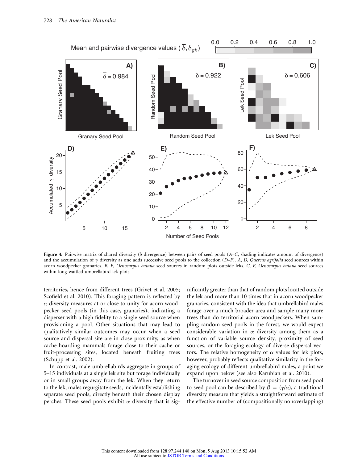

Figure 4: Pairwise matrix of shared diversity ( $\delta$  divergence) between pairs of seed pools (*A*–*C*; shading indicates amount of divergence) and the accumulation of  $\gamma$  diversity as one adds successive seed pools to the collection (*D–F*). *A*, *D*, *Quercus agrifolia* seed sources within acorn woodpecker granaries. *B*, *E*, *Oenocarpus bataua* seed sources in random plots outside leks. *C*, *F*, *Oenocarpus bataua* seed sources within long-wattled umbrellabird lek plots.

territories, hence from different trees (Grivet et al. 2005; Scofield et al. 2010). This foraging pattern is reflected by  $\alpha$  diversity measures at or close to unity for acorn woodpecker seed pools (in this case, granaries), indicating a disperser with a high fidelity to a single seed source when provisioning a pool. Other situations that may lead to qualitatively similar outcomes may occur when a seed source and dispersal site are in close proximity, as when cache-hoarding mammals forage close to their cache or fruit-processing sites, located beneath fruiting trees (Schupp et al. 2002).

In contrast, male umbrellabirds aggregate in groups of 5–15 individuals at a single lek site but forage individually or in small groups away from the lek. When they return to the lek, males regurgitate seeds, incidentally establishing separate seed pools, directly beneath their chosen display perches. These seed pools exhibit  $\alpha$  diversity that is sig-

nificantly greater than that of random plots located outside the lek and more than 10 times that in acorn woodpecker granaries, consistent with the idea that umbrellabird males forage over a much broader area and sample many more trees than do territorial acorn woodpeckers. When sampling random seed pools in the forest, we would expect considerable variation in  $\alpha$  diversity among them as a function of variable source density, proximity of seed sources, or the foraging ecology of diverse dispersal vectors. The relative homogeneity of  $\alpha$  values for lek plots, however, probably reflects qualitative similarity in the foraging ecology of different umbrellabird males, a point we expand upon below (see also Karubian et al. 2010).

The turnover in seed source composition from seed pool to seed pool can be described by  $\beta = (\gamma/\alpha)$ , a traditional diversity measure that yields a straightforward estimate of the effective number of (compositionally nonoverlapping)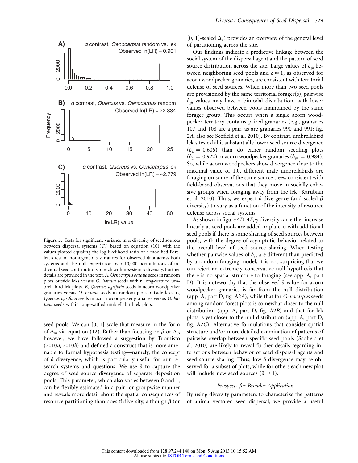

**Figure 5:** Tests for significant variance in  $\alpha$  diversity of seed sources between dispersal systems  $(T_{\alpha})$  based on equation (10), with the values plotted equaling the log-likelihood ratio of a modified Bartlett's test of homogeneous variances for observed data across both systems and the null expectation over 10,000 permutations of individual seed contributions to each within-system  $\alpha$  diversity. Further details are provided in the text. *A*, *Oenocarpus bataua* seeds in random plots outside leks versus *O. bataua* seeds within long-wattled umbrellabird lek plots. *B*, *Quercus agrifolia* seeds in acorn woodpecker granaries versus *O. bataua* seeds in random plots outside leks. *C*, *Quercus agrifolia* seeds in acorn woodpecker granaries versus *O. bataua* seeds within long-wattled umbrellabird lek plots.

seed pools. We can [0, 1]-scale that measure in the form of  $\Delta_{\beta}$ , via equation (12). Rather than focusing on  $\beta$  or  $\Delta_{\beta}$ , however, we have followed a suggestion by Tuomisto (2010*a*, 2010*b*) and defined a construct that is more amenable to formal hypothesis testing—namely, the concept of  $\delta$  divergence, which is particularly useful for our research systems and questions. We use  $\delta$  to capture the degree of seed source divergence of separate deposition pools. This parameter, which also varies between 0 and 1, can be flexibly estimated in a pair- or groupwise manner and reveals more detail about the spatial consequences of resource partitioning than does  $\beta$  diversity, although  $\beta$  (or

[0, 1]-scaled  $\Delta_{\beta}$ ) provides an overview of the general level of partitioning across the site.

Our findings indicate a predictive linkage between the social system of the dispersal agent and the pattern of seed source distribution across the site. Large values of  $\delta_{gh}$  between neighboring seed pools and  $\bar{\delta} \approx 1$ , as observed for acorn woodpecker granaries, are consistent with territorial defense of seed sources. When more than two seed pools are provisioned by the same territorial forager(s), pairwise  $\delta_{gh}$  values may have a bimodal distribution, with lower values observed between pools maintained by the same forager group. This occurs when a single acorn woodpecker territory contains paired granaries (e.g., granaries 107 and 108 are a pair, as are granaries 990 and 991; fig. 2*A*; also see Scofield et al. 2010). By contrast, umbrellabird lek sites exhibit substantially lower seed source divergence  $(\bar{\delta}_{\rm L} = 0.606)$  than do either random seedling plots ( $\delta_{\rm L}$  = 0.922) or acorn woodpecker granaries ( $\delta_{\rm w}$  = 0.984). So, while acorn woodpeckers show divergence close to the maximal value of 1.0, different male umbrellabirds are foraging on some of the same source trees, consistent with field-based observations that they move in socially cohesive groups when foraging away from the lek (Karubian et al. 2010). Thus, we expect  $\delta$  divergence (and scaled  $\beta$ diversity) to vary as a function of the intensity of resource defense across social systems.

As shown in figure  $4D-4F$ ,  $\gamma$  diversity can either increase linearly as seed pools are added or plateau with additional seed pools if there is some sharing of seed sources between pools, with the degree of asymptotic behavior related to the overall level of seed source sharing. When testing whether pairwise values of  $\delta_{gh}$  are different than predicted by a random foraging model, it is not surprising that we can reject an extremely conservative null hypothesis that there is no spatial structure to foraging (see app. A, part D). It is noteworthy that the observed  $\delta$  value for acorn woodpecker granaries is far from the null distribution (app. A, part D, fig. A2*A*), while that for *Oenocarpus* seeds among random forest plots is somewhat closer to the null distribution (app. A, part D, fig. A2*B*) and that for lek plots is yet closer to the null distribution (app. A, part D, fig. A2*C*). Alternative formulations that consider spatial structure and/or more detailed examination of patterns of pairwise overlap between specific seed pools (Scofield et al. 2010) are likely to reveal further details regarding interactions between behavior of seed dispersal agents and seed source sharing. Thus, low  $\delta$  divergence may be observed for a subset of plots, while for others each new plot will include new seed sources  $(\delta \rightarrow 1)$ .

#### *Prospects for Broader Application*

By using diversity parameters to characterize the patterns of animal-vectored seed dispersal, we provide a useful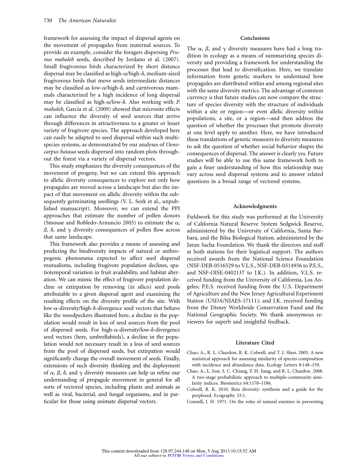framework for assessing the impact of dispersal agents on the movement of propagules from maternal sources. To provide an example, consider the foragers dispersing *Prunus mahaleb* seeds, described by Jordano et al. (2007). Small frugivorous birds characterized by short distance dispersal may be classified as high- $\alpha$ /high- $\delta$ , medium-sized frugivorous birds that move seeds intermediate distances may be classified as low- $\alpha$ /high- $\delta$ , and carnivorous mammals characterized by a high incidence of long dispersal may be classified as high- $\alpha$ /low- $\delta$ . Also working with *P*. *mahaleb*, Garcia et al. (2009) showed that microsite effects can influence the diversity of seed sources that arrive through differences in attractiveness to a greater or lesser variety of frugivore species. The approach developed here can easily be adapted to seed dispersal within such multispecies systems, as demonstrated by our analyses of *Oenocarpus bataua* seeds dispersed into random plots throughout the forest via a variety of dispersal vectors.

This study emphasizes the diversity consequences of the movement of progeny, but we can extend this approach to allelic diversity consequences to explore not only how propagules are moved across a landscape but also the impact of that movement on allelic diversity within the subsequently germinating seedlings (V. L. Sork et al., unpublished manuscript). Moreover, we can extend the PPI approaches that estimate the number of pollen donors (Smouse and Robledo-Arnuncio 2005) to estimate the  $\alpha$ ,  $\beta$ ,  $\delta$ , and  $\gamma$  diversity consequences of pollen flow across that same landscape.

This framework also provides a means of assessing and predicting the biodiversity impacts of natural or anthropogenic phenomena expected to affect seed dispersal mutualisms, including frugivore population declines, spatiotemporal variation in fruit availability, and habitat alteration. We can mimic the effect of frugivore population decline or extirpation by removing (in silico) seed pools attributable to a given dispersal agent and examining the resulting effects on the diversity profile of the site. With low- $\alpha$ -diversity/high- $\delta$ -divergence seed vectors that behave like the woodpeckers illustrated here, a decline in the population would result in loss of seed sources from the pool of dispersed seeds. For high- $\alpha$ -diversity/low- $\delta$ -divergence seed vectors (here, umbrellabirds), a decline in the population would not necessary result in a loss of seed sources from the pool of dispersed seeds, but extirpation would significantly change the overall movement of seeds. Finally, extensions of such diversity thinking and the deployment of  $\alpha$ ,  $\beta$ ,  $\delta$ , and  $\gamma$  diversity measures can help us refine our understanding of propagule movement in general for all sorts of vectored species, including plants and animals as well as viral, bacterial, and fungal organisms, and in particular for those using animate dispersal vectors.

#### **Conclusions**

The  $\alpha$ ,  $\beta$ , and  $\gamma$  diversity measures have had a long tradition in ecology as a means of summarizing species diversity and providing a framework for understanding the processes that lead to diversification. Here, we translate information from genetic markers to understand how propagules are distributed within and among regional sites with the same diversity metrics. The advantage of common currency is that future studies can now compare the structure of species diversity with the structure of individuals within a site or region—or even allelic diversity within populations, a site, or a region—and then address the question of whether the processes that promote diversity at one level apply to another. Here, we have introduced these translations of genetic measures to diversity measures to ask the question of whether social behavior shapes the consequences of dispersal. The answer is clearly yes. Future studies will be able to use this same framework both to gain a finer understanding of how this relationship may vary across seed dispersal systems and to answer related questions in a broad range of vectored systems.

#### **Acknowledgments**

Fieldwork for this study was performed at the University of California Natural Reserve System Sedgwick Reserve, administered by the University of California, Santa Barbara, and the Bilsa Biological Station, administered by the Jatun Sacha Foundation. We thank the directors and staff at both stations for their logistical support. The authors received awards from the National Science Foundation (NSF-DEB-0516529 to V.L.S., NSF-DEB-0514956 to P.E.S., and NSF-OISE-0402137 to J.K.). In addition, V.L.S. received funding from the University of California, Los Angeles; P.E.S. received funding from the U.S. Department of Agriculture and the New Jersey Agricultural Experiment Station (USDA/NJAES-17111); and J.K. received funding from the Disney Worldwide Conservation Fund and the National Geographic Society. We thank anonymous reviewers for superb and insightful feedback.

#### **Literature Cited**

- Chao, A., R. L. Chazdon, R. K. Colwell, and T. J. Shen. 2005. A new statistical approach for assessing similarity of species composition with incidence and abundance data. Ecology Letters 8:148–159.
- Chao, A., L. Jost, S. C. Chiang, Y. H. Jiang, and R. L. Chazdon. 2008. A two-stage probabilistic approach to multiple-community similarity indices. Biometrics 64:1178–1186.
- Colwell, R. K. 2010. Beta diversity: synthesis and a guide for the perplexed. Ecography 33:1.
- Connell, J. H. 1971. On the roles of natural enemies in preventing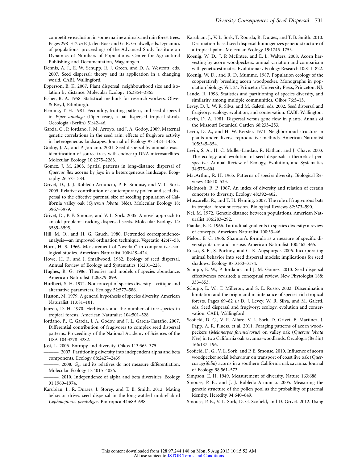competitive exclusion in some marine animals and rain forest trees. Pages 298–312 *in* P. J. den Boer and G. R. Gradwell, eds. Dynamics of populations: proceedings of the Advanced Study Institute on Dynamics of Numbers of Populations. Center for Agricultural Publishing and Documentation, Wageningen.

- Dennis, A. J., E. W. Schupp, R. J. Green, and D. A. Westcott, eds. 2007. Seed dispersal: theory and its application in a changing world. CABI, Wallingford.
- Epperson, B. K. 2007. Plant dispersal, neighbourhood size and isolation by distance. Molecular Ecology 16:3854–3865.
- Fisher, R. A. 1958. Statistical methods for research workers. Oliver & Boyd, Edinburgh.
- Fleming, T. H. 1981. Fecundity, fruiting pattern, and seed dispersal in *Piper amalago* (Piperaceae), a bat-dispersed tropical shrub. Oecologia (Berlin) 51:42–46.

Garcia, C., P. Jordano, J. M. Arroyo, and J. A. Godoy. 2009. Maternal genetic correlations in the seed rain: effects of frugivore activity in heterogeneous landscapes. Journal of Ecology 97:1424–1435.

Godoy, J. A., and P. Jordano. 2001. Seed dispersal by animals: exact identification of source trees with endocarp DNA microsatellites. Molecular Ecology 10:2275–2283.

Gomez, J. M. 2003. Spatial patterns in long-distance dispersal of *Quercus ilex* acorns by jays in a heterogeneous landscape. Ecography 26:573–584.

Grivet, D., J. J. Robledo-Arnuncio, P. E. Smouse, and V. L. Sork. 2009. Relative contribution of contemporary pollen and seed dispersal to the effective parental size of seedling population of California valley oak (Quercus lobata, Née). Molecular Ecology 18: 3967–3979.

Grivet, D., P. E. Smouse, and V. L. Sork. 2005. A novel approach to an old problem: tracking dispersed seeds. Molecular Ecology 14: 3585–3595.

Hill, M. O., and H. G. Gauch. 1980. Detrended correspondenceanalysis—an improved ordination technique. Vegetatio 42:47–58.

Horn, H. S. 1966. Measurement of "overlap" in comparative ecological studies. American Naturalist 100:419–424.

Howe, H. F., and J. Smallwood. 1982. Ecology of seed dispersal. Annual Review of Ecology and Systematics 13:201–228.

Hughes, R. G. 1986. Theories and models of species abundance. American Naturalist 128:879–899.

Hurlbert, S. H. 1971. Nonconcept of species diversity—critique and alternative parameters. Ecology 52:577–586.

Huston, M. 1979. A general hypothesis of species diversity. American Naturalist 113:81–101.

Janzen, D. H. 1970. Herbivores and the number of tree species in tropical forests. American Naturalist 104:501–528.

Jordano, P., C. Garcia, J. A. Godoy, and J. L. Garcia-Castaño. 2007. Differential contribution of frugivores to complex seed dispersal patterns. Proceedings of the National Academy of Sciences of the USA 104:3278–3282.

Jost, L. 2006. Entropy and diversity. Oikos 113:363–375.

———. 2007. Partitioning diversity into independent alpha and beta components. Ecology 88:2427–2439.

-. 2008. G<sub>ST</sub> and its relatives do not measure differentiation. Molecular Ecology 17:4015–4026.

-. 2010. Independence of alpha and beta diversities. Ecology 91:1969–1974.

Karubian, J., R. Durães, J. Storey, and T. B. Smith. 2012. Mating behavior drives seed dispersal in the long-wattled umbrellabird *Cephalopterus penduliger*. Biotropica 44:689–698.

Karubian, J., V. L. Sork, T. Roorda, R. Durães, and T. B. Smith. 2010. Destination-based seed dispersal homogenizes genetic structure of a tropical palm. Molecular Ecology 19:1745–1753.

Koenig, W. D., J. P. McEntee, and E. L. Walters. 2008. Acorn harvesting by acorn woodpeckers: annual variation and comparison with genetic estimates. Evolutionary Ecology Research 10:811–822.

Koenig, W. D., and R. D. Mumme. 1987. Population ecology of the cooperatively breeding acorn woodpecker. Monographs in population biology. Vol. 24. Princeton University Press, Princeton, NJ.

Lande, R. 1996. Statistics and partitioning of species diversity, and similarity among multiple communities. Oikos 76:5–13.

Levey, D. J., W. R. Silva, and M. Galetti, eds. 2002. Seed dispersal and frugivory: ecology, evolution, and conservation. CABI, Wallington.

Levin, D. A. 1981. Dispersal versus gene flow in plants. Annals of the Missouri Botanical Garden 68:233–253.

Levin, D. A., and H. W. Kerster. 1971. Neighborhood structure in plants under diverse reproductive methods. American Naturalist 105:345–354.

Levin, S. A., H. C. Muller-Landau, R. Nathan, and J. Chave. 2003. The ecology and evolution of seed dispersal: a theoretical perspective. Annual Review of Ecology, Evolution, and Systematics 34:575–604.

MacArthur, R. H. 1965. Patterns of species diversity. Biological Reviews 40:510–533.

McIntosh, R. P. 1967. An index of diversity and relation of certain concepts to diversity. Ecology 48:392–402.

Muscarella, R., and T. H. Fleming. 2007. The role of frugivorous bats in tropical forest succession. Biological Reviews 82:573–590.

Nei, M. 1972. Genetic distance between populations. American Naturalist 106:283–292.

Pianka, E. R. 1966. Latitudinal gradients in species diversity: a review of concepts. American Naturalist 100:33–46.

Pielou, E. C. 1966. Shannon's formula as a measure of specific diversity: its use and misuse. American Naturalist 100:463–465.

Russo, S. E., S. Portnoy, and C. K. Augspurger. 2006. Incorporating animal behavior into seed dispersal models: implications for seed shadows. Ecology 87:3160–3174.

Schupp, E. W., P. Jordano, and J. M. Gomez. 2010. Seed dispersal effectiveness revisited: a conceptual review. New Phytologist 188: 333–353.

Schupp, E. W., T. Milleron, and S. E. Russo. 2002. Dissemination limitation and the origin and maintenance of species-rich tropical forests. Pages 69–82 *in* D. J. Levey, W. R. Silva, and M. Galetti, eds. Seed dispersal and frugivory: ecology, evolution and conservation. CABI, Wallingford.

Scofield, D. G., V. R. Alfaro, V. L. Sork, D. Grivet, E. Martinez, J. Papp, A. R. Pluess, et al. 2011. Foraging patterns of acorn woodpeckers (*Melanerpes formicivorus*) on valley oak (*Quercus lobata* Née) in two California oak savanna-woodlands. Oecologia (Berlin) 166:187–196.

Scofield, D. G., V. L. Sork, and P. E. Smouse. 2010. Influence of acorn woodpecker social behaviour on transport of coast live oak (*Quercus agrifolia*) acorns in a southern California oak savanna. Journal of Ecology 98:561–572.

Simpson, E. H. 1949. Measurement of diversity. Nature 163:688.

Smouse, P. E., and J. J. Robledo-Arnuncio. 2005. Measuring the genetic structure of the pollen pool as the probability of paternal identity. Heredity 94:640–649.

Smouse, P. E., V. L. Sork, D. G. Scofield, and D. Grivet. 2012. Using